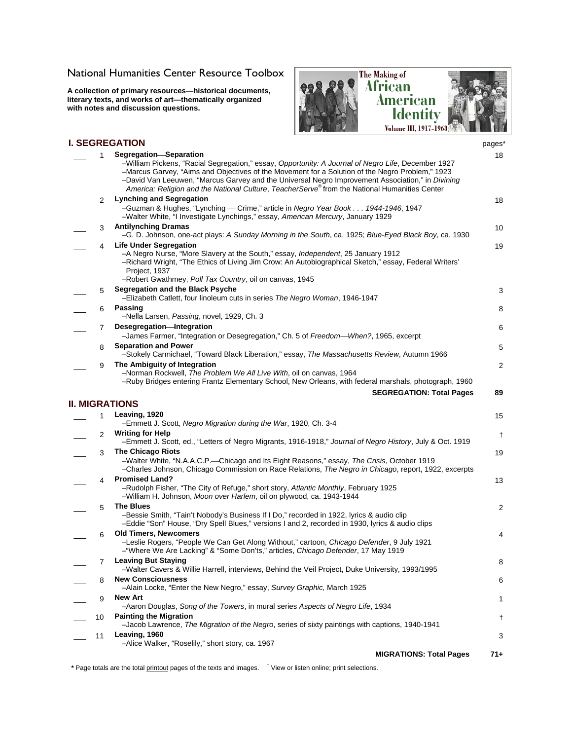## [National Humanities Center Resource Toolbox](http://nationalhumanitiescenter.org/pds/maai3/index.htm)

**A collection of primary resources—historical documents, literary texts, and works of art—thematically organized with notes and discussion questions.** 



## **I. SEGREGATION** pages\* \_\_\_ 1 **Segregation**⎯**Separation**  –William Pickens, "Racial Segregation," essay, *Opportunity: A Journal of Negro Life*, December 1927 –Marcus Garvey, "Aims and Objectives of the Movement for a Solution of the Negro Problem," 1923 –David Van Leeuwen, "Marcus Garvey and the Universal Negro Improvement Association," in *Divining America: Religion and the National Culture*, *TeacherServe*® from the National Humanities Center 18 \_\_\_ 2 **Lynching and Segregation**  –Guzman & Hughes, "Lynching ⎯ Crime," article in *Negro Year Book . . . 1944-1946*, 1947 –Walter White, "I Investigate Lynchings," essay, *American Mercury*, January 1929 18 \_\_\_ 3 **Antilynching Dramas**  –G. D. Johnson, one-act plays: *A Sunday Morning in the South*, ca. 1925; *Blue-Eyed Black Boy*, ca. 1930 10 \_\_\_ 4 **Life Under Segregation**  –A Negro Nurse, "More Slavery at the South," essay, *Independent*, 25 January 1912 –Richard Wright, "The Ethics of Living Jim Crow: An Autobiographical Sketch," essay, Federal Writers' Project, 1937 –Robert Gwathmey, *Poll Tax Country*, oil on canvas, 1945 19 \_\_\_ 5 **Segregation and the Black Psyche**  –Elizabeth Catlett, four linoleum cuts in series *The Negro Woman*, 1946-1947 3 \_\_\_ 6 **Passing**  –Nella Larsen, *Passing*, novel, 1929, Ch. 3 8 \_\_\_ 7 **Desegregation**⎯**Integration**  –James Farmer, "Integration or Desegregation," Ch. 5 of *Freedom*⎯*When?*, 1965, excerpt 6 \_\_\_ 8 **Separation and Power**  –Stokely Carmichael, "Toward Black Liberation," essay, *The Massachusetts Review*, Autumn 1966 5 \_\_\_ 9 **The Ambiguity of Integration**  –Norman Rockwell, *The Problem We All Live With*, oil on canvas, 1964 –Ruby Bridges entering Frantz Elementary School, New Orleans, with federal marshals, photograph, 1960  $\mathfrak{p}$ **SEGREGATION: Total Pages 89 II. MIGRATIONS**  \_\_\_ 1 **Leaving, 1920**  –Emmett J. Scott, *Negro Migration during the War*, 1920, Ch. 3-4 15 \_\_\_ 2 **Writing for Help**  –Emmett J. Scott, ed., "Letters of Negro Migrants, 1916-1918," *Journal of Negro History*, July & Oct. 1919 † \_\_\_ 3 **The Chicago Riots**  –Walter White, "N.A.A.C.P.⎯Chicago and Its Eight Reasons," essay, *The Crisis*, October 1919 –Charles Johnson, Chicago Commission on Race Relations, *The Negro in Chicago*, report, 1922, excerpts 19 \_\_\_ 4 **Promised Land?**  –Rudolph Fisher, "The City of Refuge," short story, *Atlantic Monthly*, February 1925 –William H. Johnson, *Moon over Harlem*, oil on plywood, ca. 1943-1944 13 \_\_\_ 5 **The Blues**  –Bessie Smith, "Tain't Nobody's Business If I Do," recorded in 1922, lyrics & audio clip –Eddie "Son" House, "Dry Spell Blues," versions I and 2, recorded in 1930, lyrics & audio clips  $\mathfrak{p}$ \_\_\_ 6 **Old Timers, Newcomers**  –Leslie Rogers, "People We Can Get Along Without," cartoon, *Chicago Defender*, 9 July 1921 –"Where We Are Lacking" & "Some Don'ts," articles, *Chicago Defender*, 17 May 1919 4 \_\_\_ 7 **Leaving But Staying**  –Walter Cavers & Willie Harrell, interviews, Behind the Veil Project, Duke University, 1993/1995 8 \_\_\_ 8 **New Consciousness**  –Alain Locke, "Enter the New Negro," essay, *Survey Graphic,* March 1925 6 \_\_\_ 9 **New Art**  –Aaron Douglas, *Song of the Towers*, in mural series *Aspects of Negro Life*, 1934 1 \_\_\_ 10 **Painting the Migration**  –Jacob Lawrence, *The Migration of the Negro*, series of sixty paintings with captions, 1940-1941 † \_\_\_ 11 **Leaving, 1960**  –Alice Walker, "Roselily," short story, ca. 1967 3 **MIGRATIONS: Total Pages 71+**

**\*** Page totals are the total printout pages of the texts and images. † View or listen online; print selections.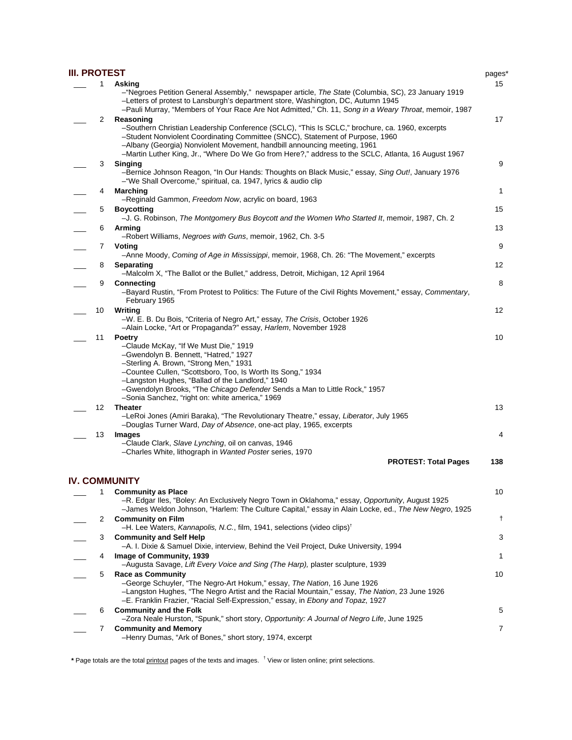| <b>III. PROTEST</b> |    |                                                                                                                                                                                                                                                                                                                                                                                               | pages*         |
|---------------------|----|-----------------------------------------------------------------------------------------------------------------------------------------------------------------------------------------------------------------------------------------------------------------------------------------------------------------------------------------------------------------------------------------------|----------------|
|                     | 1  | Asking<br>-"Negroes Petition General Assembly," newspaper article, The State (Columbia, SC), 23 January 1919<br>-Letters of protest to Lansburgh's department store, Washington, DC, Autumn 1945<br>-Pauli Murray, "Members of Your Race Are Not Admitted," Ch. 11, Song in a Weary Throat, memoir, 1987                                                                                      | 15             |
|                     | 2  | Reasoning<br>-Southern Christian Leadership Conference (SCLC), "This Is SCLC," brochure, ca. 1960, excerpts<br>-Student Nonviolent Coordinating Committee (SNCC), Statement of Purpose, 1960<br>-Albany (Georgia) Nonviolent Movement, handbill announcing meeting, 1961<br>-Martin Luther King, Jr., "Where Do We Go from Here?," address to the SCLC, Atlanta, 16 August 1967               | 17             |
|                     | 3  | <b>Singing</b><br>-Bernice Johnson Reagon, "In Our Hands: Thoughts on Black Music," essay, Sing Out!, January 1976                                                                                                                                                                                                                                                                            | 9              |
|                     | 4  | -"We Shall Overcome," spiritual, ca. 1947, lyrics & audio clip<br><b>Marching</b><br>-Reginald Gammon, Freedom Now, acrylic on board, 1963                                                                                                                                                                                                                                                    | 1              |
|                     | 5  | <b>Boycotting</b><br>-J. G. Robinson, The Montgomery Bus Boycott and the Women Who Started It, memoir, 1987, Ch. 2                                                                                                                                                                                                                                                                            | 15             |
|                     | 6  | Arming<br>-Robert Williams, Negroes with Guns, memoir, 1962, Ch. 3-5                                                                                                                                                                                                                                                                                                                          | 13             |
|                     | 7  | Voting                                                                                                                                                                                                                                                                                                                                                                                        | 9              |
|                     | 8  | -Anne Moody, Coming of Age in Mississippi, memoir, 1968, Ch. 26: "The Movement," excerpts<br>Separating<br>-Malcolm X, "The Ballot or the Bullet," address, Detroit, Michigan, 12 April 1964                                                                                                                                                                                                  | 12             |
|                     | 9  | <b>Connecting</b><br>-Bayard Rustin, "From Protest to Politics: The Future of the Civil Rights Movement," essay, Commentary,<br>February 1965                                                                                                                                                                                                                                                 | 8              |
|                     | 10 | Writing<br>-W. E. B. Du Bois, "Criteria of Negro Art," essay, The Crisis, October 1926<br>-Alain Locke, "Art or Propaganda?" essay, Harlem, November 1928                                                                                                                                                                                                                                     | 12             |
|                     | 11 | <b>Poetry</b><br>-Claude McKay, "If We Must Die," 1919<br>-Gwendolyn B. Bennett, "Hatred," 1927<br>-Sterling A. Brown, "Strong Men," 1931<br>-Countee Cullen, "Scottsboro, Too, Is Worth Its Song," 1934<br>-Langston Hughes, "Ballad of the Landlord," 1940<br>-Gwendolyn Brooks, "The Chicago Defender Sends a Man to Little Rock," 1957<br>-Sonia Sanchez, "right on: white america," 1969 | 10             |
|                     | 12 | <b>Theater</b><br>-LeRoi Jones (Amiri Baraka), "The Revolutionary Theatre," essay, Liberator, July 1965<br>-Douglas Turner Ward, Day of Absence, one-act play, 1965, excerpts                                                                                                                                                                                                                 | 13             |
|                     | 13 | <b>Images</b><br>-Claude Clark, Slave Lynching, oil on canvas, 1946<br>-Charles White, lithograph in Wanted Poster series, 1970                                                                                                                                                                                                                                                               | 4              |
|                     |    | <b>PROTEST: Total Pages</b>                                                                                                                                                                                                                                                                                                                                                                   | 138            |
|                     |    | <b>IV. COMMUNITY</b>                                                                                                                                                                                                                                                                                                                                                                          |                |
|                     | 1  | <b>Community as Place</b><br>-R. Edgar Iles, "Boley: An Exclusively Negro Town in Oklahoma," essay, Opportunity, August 1925<br>-James Weldon Johnson, "Harlem: The Culture Capital," essay in Alain Locke, ed., The New Negro, 1925                                                                                                                                                          | 10             |
|                     | 2  | <b>Community on Film</b><br>-H. Lee Waters, Kannapolis, N.C., film, 1941, selections (video clips) <sup>†</sup>                                                                                                                                                                                                                                                                               | $^{\dagger}$   |
|                     | 3  | <b>Community and Self Help</b><br>-A. I. Dixie & Samuel Dixie, interview, Behind the Veil Project, Duke University, 1994                                                                                                                                                                                                                                                                      | 3              |
|                     | 4  | Image of Community, 1939<br>-Augusta Savage, Lift Every Voice and Sing (The Harp), plaster sculpture, 1939                                                                                                                                                                                                                                                                                    | 1              |
|                     | 5  | <b>Race as Community</b><br>-George Schuyler, "The Negro-Art Hokum," essay, The Nation, 16 June 1926<br>-Langston Hughes, "The Negro Artist and the Racial Mountain," essay, The Nation, 23 June 1926<br>-E. Franklin Frazier, "Racial Self-Expression," essay, in Ebony and Topaz, 1927                                                                                                      | 10             |
|                     | 6  | <b>Community and the Folk</b><br>-Zora Neale Hurston, "Spunk," short story, Opportunity: A Journal of Negro Life, June 1925                                                                                                                                                                                                                                                                   | 5              |
|                     | 7  | <b>Community and Memory</b><br>-Henry Dumas, "Ark of Bones," short story, 1974, excerpt                                                                                                                                                                                                                                                                                                       | $\overline{7}$ |

**\*** Page totals are the total printout pages of the texts and images. † View or listen online; print selections.